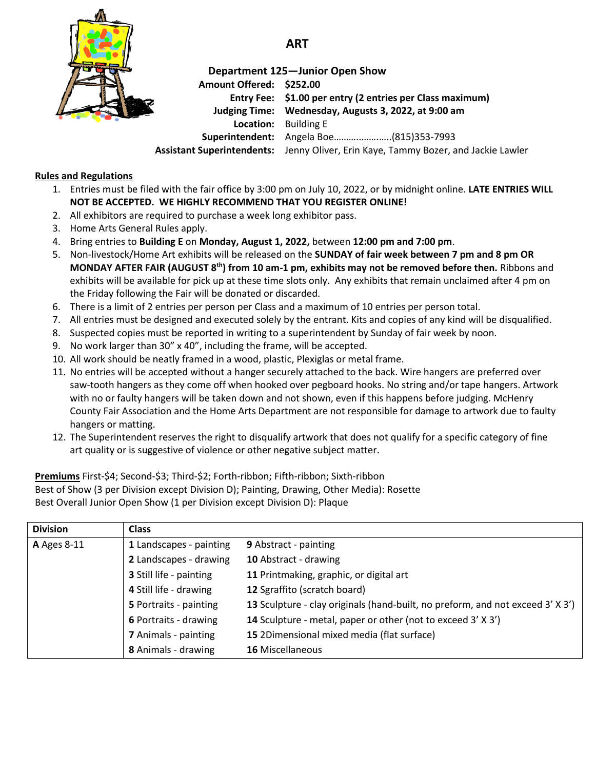

## **ART**

## **Department 125—Junior Open Show Amount Offered: \$252.00 Entry Fee: \$1.00 per entry (2 entries per Class maximum) Judging Time: Wednesday, Augusts 3, 2022, at 9:00 am Location:** Building E **Superintendent:** Angela Boe………..…….…..(815)353-7993 **Assistant Superintendents:** Jenny Oliver, Erin Kaye, Tammy Bozer, and Jackie Lawler

**Rules and Regulations**

- 1. Entries must be filed with the fair office by 3:00 pm on July 10, 2022, or by midnight online. **LATE ENTRIES WILL NOT BE ACCEPTED. WE HIGHLY RECOMMEND THAT YOU REGISTER ONLINE!**
- 2. All exhibitors are required to purchase a week long exhibitor pass.
- 3. Home Arts General Rules apply.
- 4. Bring entries to **Building E** on **Monday, August 1, 2022,** between **12:00 pm and 7:00 pm**.
- 5. Non-livestock/Home Art exhibits will be released on the **SUNDAY of fair week between 7 pm and 8 pm OR MONDAY AFTER FAIR (AUGUST 8 th) from 10 am-1 pm, exhibits may not be removed before then.** Ribbons and exhibits will be available for pick up at these time slots only. Any exhibits that remain unclaimed after 4 pm on the Friday following the Fair will be donated or discarded.
- 6. There is a limit of 2 entries per person per Class and a maximum of 10 entries per person total.
- 7. All entries must be designed and executed solely by the entrant. Kits and copies of any kind will be disqualified.
- 8. Suspected copies must be reported in writing to a superintendent by Sunday of fair week by noon.
- 9. No work larger than 30" x 40", including the frame, will be accepted.
- 10. All work should be neatly framed in a wood, plastic, Plexiglas or metal frame.
- 11. No entries will be accepted without a hanger securely attached to the back. Wire hangers are preferred over saw-tooth hangers as they come off when hooked over pegboard hooks. No string and/or tape hangers. Artwork with no or faulty hangers will be taken down and not shown, even if this happens before judging. McHenry County Fair Association and the Home Arts Department are not responsible for damage to artwork due to faulty hangers or matting.
- 12. The Superintendent reserves the right to disqualify artwork that does not qualify for a specific category of fine art quality or is suggestive of violence or other negative subject matter.

**Premiums** First-\$4; Second-\$3; Third-\$2; Forth-ribbon; Fifth-ribbon; Sixth-ribbon Best of Show (3 per Division except Division D); Painting, Drawing, Other Media): Rosette Best Overall Junior Open Show (1 per Division except Division D): Plaque

| <b>Division</b>    | <b>Class</b>                |                                                                                |
|--------------------|-----------------------------|--------------------------------------------------------------------------------|
| <b>A</b> Ages 8-11 | 1 Landscapes - painting     | 9 Abstract - painting                                                          |
|                    | 2 Landscapes - drawing      | 10 Abstract - drawing                                                          |
|                    | 3 Still life - painting     | 11 Printmaking, graphic, or digital art                                        |
|                    | 4 Still life - drawing      | 12 Sgraffito (scratch board)                                                   |
|                    | 5 Portraits - painting      | 13 Sculpture - clay originals (hand-built, no preform, and not exceed 3' X 3') |
|                    | 6 Portraits - drawing       | 14 Sculpture - metal, paper or other (not to exceed 3' X 3')                   |
|                    | <b>7</b> Animals - painting | 15 2Dimensional mixed media (flat surface)                                     |
|                    | 8 Animals - drawing         | <b>16 Miscellaneous</b>                                                        |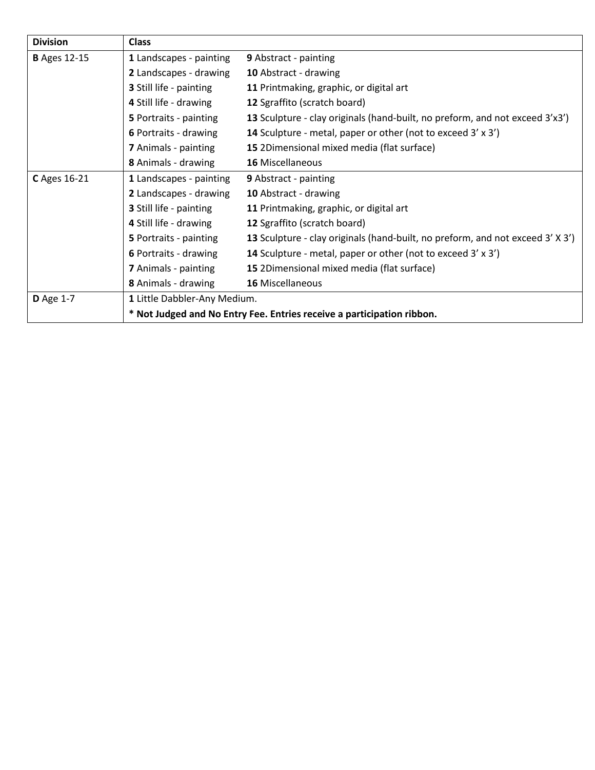| <b>Division</b>     | <b>Class</b>                                                           |                                                                                |  |
|---------------------|------------------------------------------------------------------------|--------------------------------------------------------------------------------|--|
| <b>B</b> Ages 12-15 | 1 Landscapes - painting                                                | 9 Abstract - painting                                                          |  |
|                     | 2 Landscapes - drawing                                                 | 10 Abstract - drawing                                                          |  |
|                     | <b>3</b> Still life - painting                                         | 11 Printmaking, graphic, or digital art                                        |  |
|                     | 4 Still life - drawing                                                 | 12 Sgraffito (scratch board)                                                   |  |
|                     | 5 Portraits - painting                                                 | 13 Sculpture - clay originals (hand-built, no preform, and not exceed 3'x3')   |  |
|                     | 6 Portraits - drawing                                                  | 14 Sculpture - metal, paper or other (not to exceed 3' x 3')                   |  |
|                     | <b>7</b> Animals - painting                                            | 15 2Dimensional mixed media (flat surface)                                     |  |
|                     | 8 Animals - drawing                                                    | <b>16 Miscellaneous</b>                                                        |  |
| C Ages 16-21        | 1 Landscapes - painting                                                | 9 Abstract - painting                                                          |  |
|                     | 2 Landscapes - drawing                                                 | 10 Abstract - drawing                                                          |  |
|                     | 3 Still life - painting                                                | 11 Printmaking, graphic, or digital art                                        |  |
|                     | 4 Still life - drawing                                                 | 12 Sgraffito (scratch board)                                                   |  |
|                     | 5 Portraits - painting                                                 | 13 Sculpture - clay originals (hand-built, no preform, and not exceed 3' X 3') |  |
|                     | 6 Portraits - drawing                                                  | 14 Sculpture - metal, paper or other (not to exceed 3' x 3')                   |  |
|                     | 7 Animals - painting                                                   | 15 2Dimensional mixed media (flat surface)                                     |  |
|                     | 8 Animals - drawing                                                    | <b>16 Miscellaneous</b>                                                        |  |
| <b>D</b> Age 1-7    | 1 Little Dabbler-Any Medium.                                           |                                                                                |  |
|                     | * Not Judged and No Entry Fee. Entries receive a participation ribbon. |                                                                                |  |